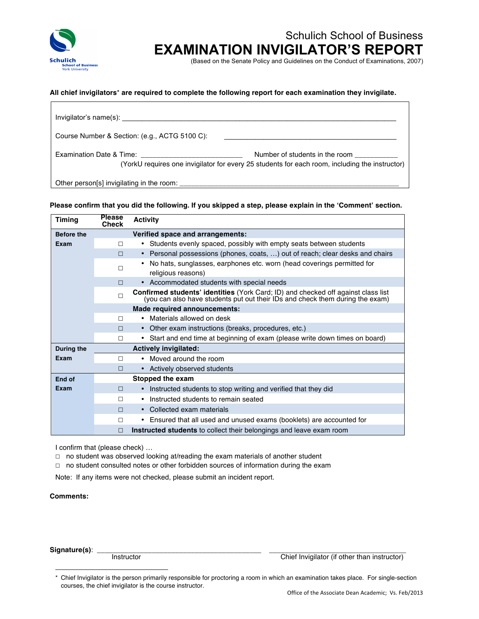

# Schulich School of Business **EXAMINATION INVIGILATOR'S REPORT**

(Based on the Senate Policy and Guidelines on the Conduct of Examinations, 2007)

#### **All chief invigilators**\* **are required to complete the following report for each examination they invigilate.**

| Course Number & Section: (e.g., ACTG 5100 C):                                                                                                                                                                                  | <u> 1989 - Andrea Santa Alemania, amerikana amerikana amerikana amerikana amerikana amerikana amerikana amerikan</u>             |
|--------------------------------------------------------------------------------------------------------------------------------------------------------------------------------------------------------------------------------|----------------------------------------------------------------------------------------------------------------------------------|
|                                                                                                                                                                                                                                | Number of students in the room<br>(YorkU requires one invigilator for every 25 students for each room, including the instructor) |
| Other person[s] invigilating in the room: example and research and research of the second state of the second state of the second state of the second state of the second state of the second state of the second state of the |                                                                                                                                  |

#### **Please confirm that you did the following. If you skipped a step, please explain in the 'Comment' section.**

| <b>Timing</b>     | <b>Please</b><br>Check       | <b>Activity</b>                                                                                                                                                           |
|-------------------|------------------------------|---------------------------------------------------------------------------------------------------------------------------------------------------------------------------|
| <b>Before the</b> |                              | Verified space and arrangements:                                                                                                                                          |
| Exam              | п                            | • Students evenly spaced, possibly with empty seats between students                                                                                                      |
|                   | П                            | • Personal possessions (phones, coats, ) out of reach; clear desks and chairs                                                                                             |
|                   | П                            | • No hats, sunglasses, earphones etc. worn (head coverings permitted for<br>religious reasons)                                                                            |
|                   | $\Box$                       | • Accommodated students with special needs                                                                                                                                |
|                   | $\Box$                       | <b>Confirmed students' identities</b> (York Card; ID) and checked off against class list<br>(you can also have students put out their IDs and check them during the exam) |
|                   |                              | Made required announcements:                                                                                                                                              |
|                   | П                            | • Materials allowed on desk                                                                                                                                               |
|                   | $\Box$                       | • Other exam instructions (breaks, procedures, etc.)                                                                                                                      |
|                   | П                            | • Start and end time at beginning of exam (please write down times on board)                                                                                              |
| During the        | <b>Actively invigilated:</b> |                                                                                                                                                                           |
| Exam              | П                            | • Moved around the room                                                                                                                                                   |
|                   | П                            | • Actively observed students                                                                                                                                              |
| End of            | Stopped the exam             |                                                                                                                                                                           |
| Exam              | П                            | • Instructed students to stop writing and verified that they did                                                                                                          |
|                   | П                            | Instructed students to remain seated<br>٠                                                                                                                                 |
|                   | $\Box$                       | • Collected exam materials                                                                                                                                                |
|                   | П                            | Ensured that all used and unused exams (booklets) are accounted for<br>$\bullet$                                                                                          |
|                   | П                            | Instructed students to collect their belongings and leave exam room                                                                                                       |

I confirm that (please check) …

□ no student was observed looking at/reading the exam materials of another student

□ no student consulted notes or other forbidden sources of information during the exam

Note: If any items were not checked, please submit an incident report.

## **Comments:**

**Signature(s)**: \_\_\_\_\_\_\_\_\_\_\_\_\_\_\_\_\_\_\_\_\_\_\_\_\_\_\_\_\_\_\_\_\_\_\_\_\_\_\_\_\_\_ \_\_\_\_\_\_\_\_\_\_\_\_\_\_\_\_\_\_\_\_\_\_\_\_\_\_\_\_\_\_\_\_\_\_\_

 $\overline{a}$ 

Chief Invigilator (if other than instructor)

<sup>\*</sup> Chief Invigilator is the person primarily responsible for proctoring a room in which an examination takes place. For single-section courses, the chief invigilator is the course instructor.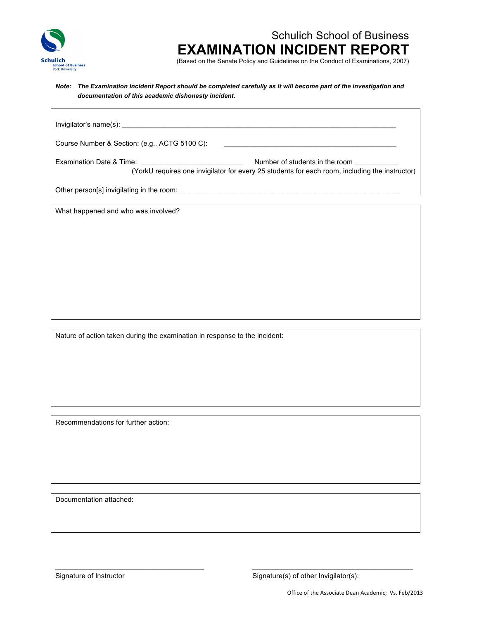

# Schulich School of Business **EXAMINATION INCIDENT REPORT**

(Based on the Senate Policy and Guidelines on the Conduct of Examinations, 2007)

#### *Note: The Examination Incident Report should be completed carefully as it will become part of the investigation and documentation of this academic dishonesty incident.*

| Course Number & Section: (e.g., ACTG 5100 C): | <u> 1980 - Jan Samuel Barbara, margaret ar ferfinding e popular e a ferfinding a la popular de la popular de la p</u>            |
|-----------------------------------------------|----------------------------------------------------------------------------------------------------------------------------------|
|                                               | Number of students in the room<br>(YorkU requires one invigilator for every 25 students for each room, including the instructor) |
| Other person[s] invigilating in the room:     |                                                                                                                                  |

What happened and who was involved?

Nature of action taken during the examination in response to the incident:

Recommendations for further action:

Documentation attached:

Signature of Instructor Signature(s) of other Invigilator(s):

\_\_\_\_\_\_\_\_\_\_\_\_\_\_\_\_\_\_\_\_\_\_\_\_\_\_\_\_\_\_\_\_\_\_\_\_\_\_ \_\_\_\_\_\_\_\_\_\_\_\_\_\_\_\_\_\_\_\_\_\_\_\_\_\_\_\_\_\_\_\_\_\_\_\_\_\_\_\_\_